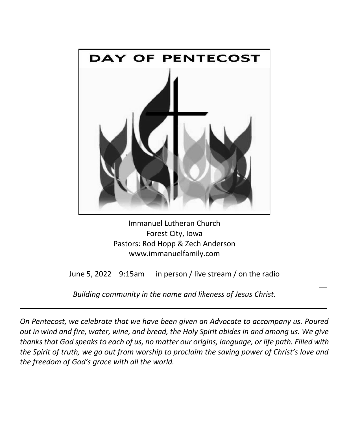

Immanuel Lutheran Church Forest City, Iowa Pastors: Rod Hopp & Zech Anderson www.immanuelfamily.com

June 5, 2022 9:15am in person / live stream / on the radio

 $\overline{\phantom{a}}$ 

 $\overline{\phantom{a}}$ 

*Building community in the name and likeness of Jesus Christ.*

*On Pentecost, we celebrate that we have been given an Advocate to accompany us. Poured out in wind and fire, water, wine, and bread, the Holy Spirit abides in and among us. We give thanks that God speaks to each of us, no matter our origins, language, or life path. Filled with the Spirit of truth, we go out from worship to proclaim the saving power of Christ's love and the freedom of God's grace with all the world.*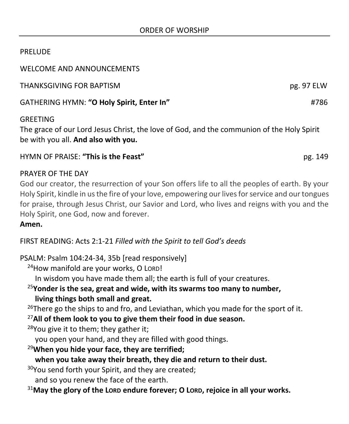## PRELUDE

WELCOME AND ANNOUNCEMENTS

THANKSGIVING FOR BAPTISM pg. 97 ELW

GATHERING HYMN: **"O Holy Spirit, Enter In"** #786

# GREETING

The grace of our Lord Jesus Christ, the love of God, and the communion of the Holy Spirit be with you all. **And also with you.**

### HYMN OF PRAISE: **"This is the Feast"** pg. 149

#### PRAYER OF THE DAY

God our creator, the resurrection of your Son offers life to all the peoples of earth. By your Holy Spirit, kindle in us the fire of your love, empowering our lives for service and our tongues for praise, through Jesus Christ, our Savior and Lord, who lives and reigns with you and the Holy Spirit, one God, now and forever.

#### **Amen.**

FIRST READING: Acts 2:1-21 *Filled with the Spirit to tell God's deeds*

## PSALM: Psalm 104:24-34, 35b [read responsively]

<sup>24</sup>How manifold are your works, O LORD!

In wisdom you have made them all; the earth is full of your creatures.

<sup>25</sup>**Yonder is the sea, great and wide, with its swarms too many to number, living things both small and great.**

 $26$ There go the ships to and fro, and Leviathan, which you made for the sport of it.

<sup>27</sup>**All of them look to you to give them their food in due season.**

<sup>28</sup>You give it to them; they gather it;

you open your hand, and they are filled with good things.

<sup>29</sup>**When you hide your face, they are terrified;**

**when you take away their breath, they die and return to their dust.**

<sup>30</sup>You send forth your Spirit, and they are created;

and so you renew the face of the earth.

<sup>31</sup>**May the glory of the LORD endure forever; O LORD, rejoice in all your works.**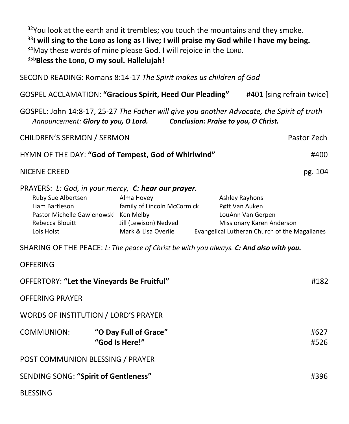<sup>32</sup>You look at the earth and it trembles; you touch the mountains and they smoke. <sup>33</sup>**I will sing to the LORD as long as I live; I will praise my God while I have my being.**  $34$ May these words of mine please God. I will rejoice in the LORD. 35b**Bless the LORD, O my soul. Hallelujah!**

SECOND READING: Romans 8:14-17 *The Spirit makes us children of God* GOSPEL ACCLAMATION: **"Gracious Spirit, Heed Our Pleading"** #401 [sing refrain twice] GOSPEL: John 14:8-17, 25-27 *The Father will give you another Advocate, the Spirit of truth Announcement: Glory to you, O Lord. Conclusion: Praise to you, O Christ.* CHILDREN'S SERMON / SERMON Pastor Zech HYMN OF THE DAY: **"God of Tempest, God of Whirlwind"** #400 NICENE CREED pg. 104 PRAYERS: *L: God, in your mercy, C: hear our prayer.* Ruby Sue Albertsen **Alma Hovey And Ashley Rayhons** Liam Bartleson family of Lincoln McCormick Pøtt Van Auken Pastor Michelle Gawienowski Ken Melby **Lack Communist Contract Contract Contract** LouAnn Van Gerpen Rebecca Blouitt **Mission** Jill (Lewison) Nedved Missionary Karen Anderson

SHARING OF THE PEACE: *L: The peace of Christ be with you always. C: And also with you.*

OFFERING

Lois Holst **Mark & Lisa Overlie** Evangelical Lutheran Church of the Magallanes

| <b>UFFERING</b>                             |                                         |  |              |
|---------------------------------------------|-----------------------------------------|--|--------------|
| OFFERTORY: "Let the Vineyards Be Fruitful"  |                                         |  | #182         |
| <b>OFFERING PRAYER</b>                      |                                         |  |              |
| <b>WORDS OF INSTITUTION / LORD'S PRAYER</b> |                                         |  |              |
| COMMUNION:                                  | "O Day Full of Grace"<br>"God Is Here!" |  | #627<br>#526 |
| POST COMMUNION BLESSING / PRAYER            |                                         |  |              |
| SENDING SONG: "Spirit of Gentleness"        |                                         |  | #396         |
| <b>BLESSING</b>                             |                                         |  |              |